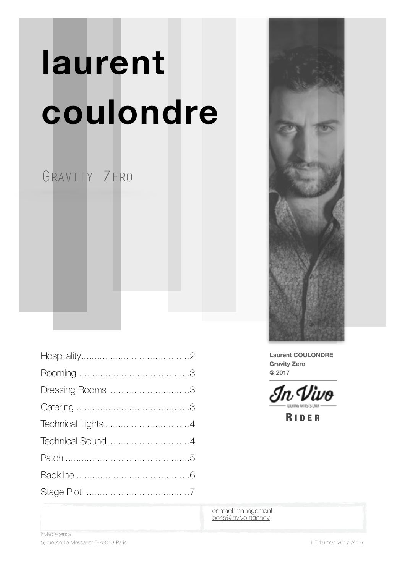# **laurent coulondre**

## GRAVITY ZERO

| Dressing Rooms 3 |
|------------------|
|                  |
|                  |
|                  |
|                  |
|                  |
|                  |



**Laurent COULONDRE Gravity Zero @ 2017**

In Vivo

R IDER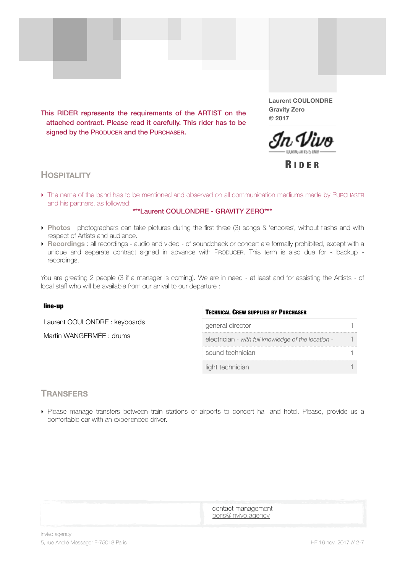<span id="page-1-0"></span>This RIDER represents the requirements of the ARTIST on the attached contract. Please read it carefully. This rider has to be signed by the PRODUCER and the PURCHASER.

**Laurent COULONDRE Gravity Zero @ 2017**



R IDER

#### **HOSPITALITY**

‣ The name of the band has to be mentioned and observed on all communication mediums made by PURCHASER and his partners, as followed:

#### \*\*\*Laurent COULONDRE - GRAVITY ZERO\*\*\*

- ‣ **Photos** : photographers can take pictures during the first three (3) songs & 'encores', without flashs and with respect of Artists and audience.
- ‣ **Recordings** : all recordings audio and video of soundcheck or concert are formally prohibited, except with a unique and separate contract signed in advance with PRODUCER. This term is also due for « backup » recordings.

You are greeting 2 people (3 if a manager is coming). We are in need - at least and for assisting the Artists - of local staff who will be available from our arrival to our departure :

#### line-up

Laurent COULONDRE : keyboards

Martin WANGERMÉE : drums

| <b>TECHNICAL CREW SUPPLIED BY PURCHASER</b>         |  |
|-----------------------------------------------------|--|
| general director                                    |  |
| electrician - with full knowledge of the location - |  |
| sound technician                                    |  |
| light technician                                    |  |

#### **TRANSFERS**

‣ Please manage transfers between train stations or airports to concert hall and hotel. Please, provide us a confortable car with an experienced driver.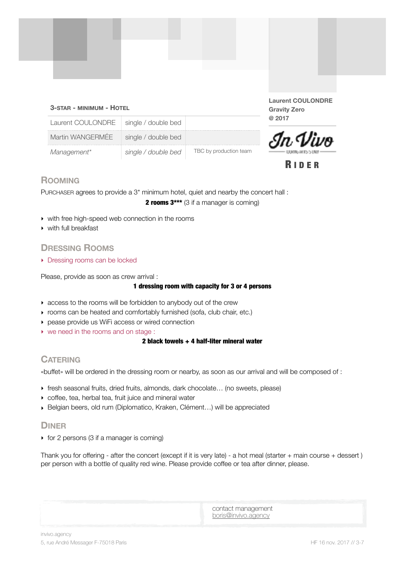#### **3-STAR - MINIMUM - HOTEL**

**Laurent COULONDRE Gravity Zero @ 2017**



R IDER

| Laurent COULONDRE   single / double bed |                     |                        |
|-----------------------------------------|---------------------|------------------------|
| Martin WANGERMÉE                        | single / double bed |                        |
| Management*                             | single / double bed | TBC by production team |

#### <span id="page-2-0"></span>**ROOMING**

PURCHASER agrees to provide a 3\* minimum hotel, quiet and nearby the concert hall : 2 rooms 3\*\*\* (3 if a manager is coming)

- ‣ with free high-speed web connection in the rooms
- ‣ with full breakfast

#### <span id="page-2-1"></span>**DRESSING ROOMS**

▶ Dressing rooms can be locked

Please, provide as soon as crew arrival : 

#### 1 dressing room with capacity for 3 or 4 persons

- ‣ access to the rooms will be forbidden to anybody out of the crew
- ‣ rooms can be heated and comfortably furnished (sofa, club chair, etc.)
- ‣ pease provide us WiFi access or wired connection
- ‣ we need in the rooms and on stage :

#### 2 black towels + 4 half-liter mineral water

#### <span id="page-2-2"></span>**CATERING**

«buffet» will be ordered in the dressing room or nearby, as soon as our arrival and will be composed of :

- ‣ fresh seasonal fruits, dried fruits, almonds, dark chocolate… (no sweets, please)
- ‣ coffee, tea, herbal tea, fruit juice and mineral water
- ‣ Belgian beers, old rum (Diplomatico, Kraken, Clément…) will be appreciated

#### **DINER**

 $\rightarrow$  for 2 persons (3 if a manager is coming)

Thank you for offering - after the concert (except if it is very late) - a hot meal (starter + main course + dessert ) per person with a bottle of quality red wine. Please provide coffee or tea after dinner, please.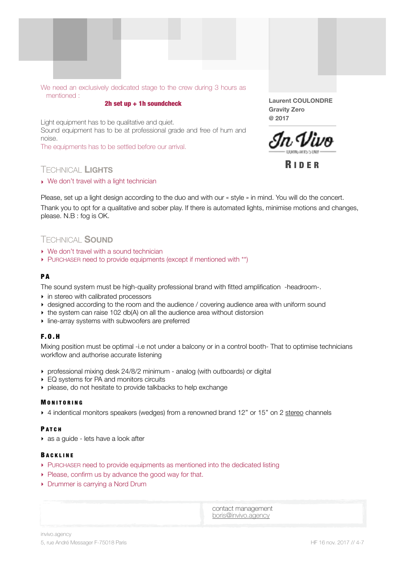

#### 2h set up + 1h soundcheck

Light equipment has to be qualitative and quiet. Sound equipment has to be at professional grade and free of hum and noise.

The equipments has to be settled before our arrival.

## <span id="page-3-0"></span>R IDER TECHNICAL **LIGHTS**

▶ We don't travel with a light technician

**Laurent COULONDRE Gravity Zero @ 2017**



Please, set up a light design according to the duo and with our « style » in mind. You will do the concert. Thank you to opt for a qualitative and sober play. If there is automated lights, minimise motions and changes, please. N.B : fog is OK.

#### <span id="page-3-1"></span>TECHNICAL **SOUND**

- ‣ We don't travel with a sound technician
- ‣ PURCHASER need to provide equipments (except if mentioned with \*\*)

#### PA

The sound system must be high-quality professional brand with fitted amplification -headroom-.

- ‣ in stereo with calibrated processors
- ‣ designed according to the room and the audience / covering audience area with uniform sound
- $\rightarrow$  the system can raise 102 db(A) on all the audience area without distorsion
- ‣ line-array systems with subwoofers are preferred

#### F.O.H

Mixing position must be optimal -i.e not under a balcony or in a control booth- That to optimise technicians workflow and authorise accurate listening

- ‣ professional mixing desk 24/8/2 minimum analog (with outboards) or digital
- ▶ EQ systems for PA and monitors circuits
- ‣ please, do not hesitate to provide talkbacks to help exchange

#### **MONITORING**

▶ 4 indentical monitors speakers (wedges) from a renowned brand 12" or 15" on 2 stereo channels

#### **PATCH**

• as a guide - lets have a look after

#### B ACKLINE

- ‣ PURCHASER need to provide equipments as mentioned into the dedicated listing
- ▶ Please, confirm us by advance the good way for that.
- ‣ Drummer is carrying a Nord Drum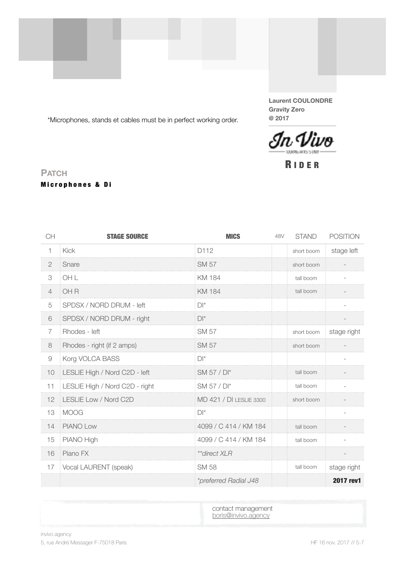\*Microphones, stands et cables must be in perfect working order.

**Laurent COULONDRE Gravity Zero @ 2017**



## <span id="page-4-0"></span><sup>R</sup> IDER **PATCH** Microphones & Di

| CH             | <b>STAGE SOURCE</b>            | <b>MICS</b>             | 48V | <b>STAND</b> | <b>POSITION</b> |
|----------------|--------------------------------|-------------------------|-----|--------------|-----------------|
| 1              | <b>Kick</b>                    | D112                    |     | short boom   | stage left      |
| $\mathbf{2}$   | Snare                          | <b>SM 57</b>            |     | short boom   |                 |
| 3              | OH L                           | <b>KM 184</b>           |     | tall boom    |                 |
| $\overline{4}$ | OH <sub>R</sub>                | <b>KM 184</b>           |     | tall boom    |                 |
| 5              | SPDSX / NORD DRUM - left       | $D^*$                   |     |              |                 |
| 6              | SPDSX / NORD DRUM - right      | $D^*$                   |     |              |                 |
| $\overline{7}$ | Rhodes - left                  | <b>SM 57</b>            |     | short boom   | stage right     |
| 8              | Rhodes - right (if 2 amps)     | <b>SM 57</b>            |     | short boom   |                 |
| $\Theta$       | Korg VOLCA BASS                | $D^*$                   |     |              |                 |
| 10             | LESLIE High / Nord C2D - left  | SM 57 / DI*             |     | tall boom    |                 |
| 11             | LESLIE High / Nord C2D - right | SM 57 / DI*             |     | tall boom    |                 |
| 12             | LESLIE Low / Nord C2D          | MD 421 / DI LESLIE 3300 |     | short boom   |                 |
| 13             | <b>MOOG</b>                    | $D^*$                   |     |              |                 |
| 14             | <b>PIANO Low</b>               | 4099 / C 414 / KM 184   |     | tall boom    |                 |
| 15             | PIANO High                     | 4099 / C 414 / KM 184   |     | tall boom    |                 |
| 16             | Piano FX                       | **direct XLR            |     |              |                 |
| 17             | Vocal LAURENT (speak)          | <b>SM 58</b>            |     | tall boom    | stage right     |
|                |                                | *preferred Radial J48   |     |              | 2017 rev1       |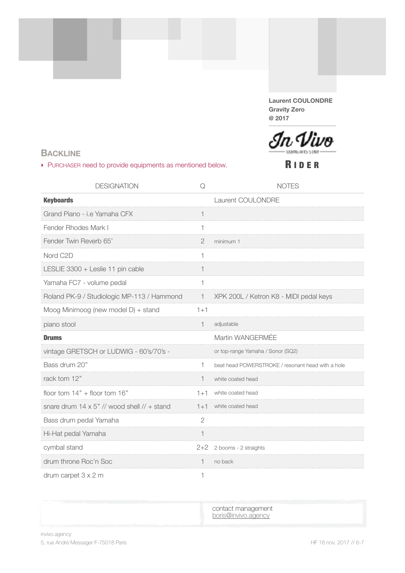**Laurent COULONDRE Gravity Zero @ 2017**



#### <span id="page-5-0"></span>**BACKLINE**

‣ PURCHASER need to provide equipments as mentioned below.

R IDER

| <b>DESIGNATION</b>                                  | Q              | <b>NOTES</b>                                      |
|-----------------------------------------------------|----------------|---------------------------------------------------|
| <b>Keyboards</b>                                    |                | Laurent COULONDRE                                 |
| Grand Piano - i.e Yamaha CFX                        | 1              |                                                   |
| Fender Rhodes Mark I                                |                |                                                   |
| Fender Twin Reverb 65'                              | $\overline{2}$ | minimum 1                                         |
| Nord C2D                                            | 1              |                                                   |
| LESLIE 3300 + Leslie 11 pin cable                   | 1              |                                                   |
| Yamaha FC7 - volume pedal                           |                |                                                   |
| Roland PK-9 / Studiologic MP-113 / Hammond          | $\mathbf{1}$   | XPK 200L / Ketron K8 - MIDI pedal keys            |
| Moog Minimoog (new model D) + stand                 | $1+1$          |                                                   |
| piano stool                                         | 1              | adjustable                                        |
| <b>Drums</b>                                        |                | Martin WANGERMÉE                                  |
| vintage GRETSCH or LUDWIG - 60's/70's -             |                | or top-range Yamaha / Sonor (SQ2)                 |
| Bass drum 20"                                       | 1              | beat head POWERSTROKE / resonant head with a hole |
| rack tom 12"                                        |                | white coated head                                 |
| floor tom $14" +$ floor tom $16"$                   | $1 + 1$        | white coated head                                 |
| snare drum $14 \times 5$ " // wood shell // + stand | $1+1$          | white coated head                                 |
| Bass drum pedal Yamaha                              | $\overline{2}$ |                                                   |
| Hi-Hat pedal Yamaha                                 |                |                                                   |
| cymbal stand                                        | $2+2$          | 2 booms - 2 straights                             |
| drum throne Roc'n Soc                               | 1              | no back                                           |
| drum carpet $3 \times 2$ m                          | 1              |                                                   |